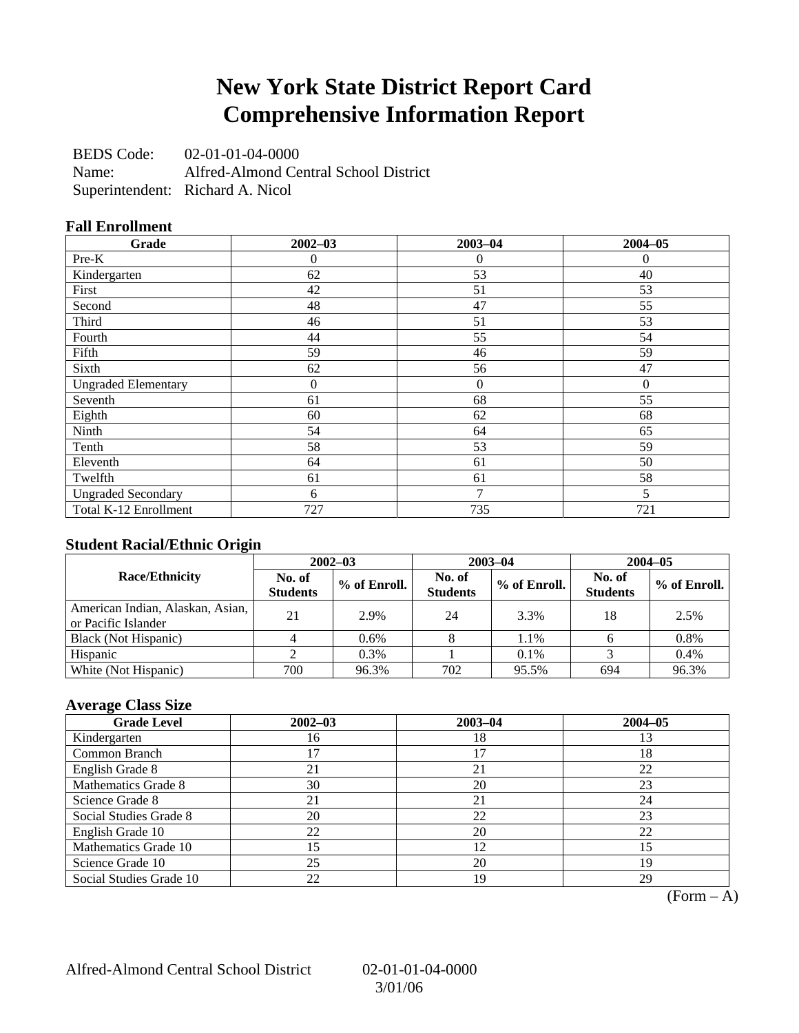### **New York State District Report Card Comprehensive Information Report**

BEDS Code: 02-01-01-04-0000 Name: Alfred-Almond Central School District Superintendent: Richard A. Nicol

### **Fall Enrollment**

| Grade                      | $2002 - 03$ | $2003 - 04$    | $2004 - 05$  |
|----------------------------|-------------|----------------|--------------|
| Pre-K                      | 0           | $\overline{0}$ | $\mathbf{0}$ |
| Kindergarten               | 62          | 53             | 40           |
| First                      | 42          | 51             | 53           |
| Second                     | 48          | 47             | 55           |
| Third                      | 46          | 51             | 53           |
| Fourth                     | 44          | 55             | 54           |
| Fifth                      | 59          | 46             | 59           |
| Sixth                      | 62          | 56             | 47           |
| <b>Ungraded Elementary</b> | $\theta$    | $\overline{0}$ | $\theta$     |
| Seventh                    | 61          | 68             | 55           |
| Eighth                     | 60          | 62             | 68           |
| Ninth                      | 54          | 64             | 65           |
| Tenth                      | 58          | 53             | 59           |
| Eleventh                   | 64          | 61             | 50           |
| Twelfth                    | 61          | 61             | 58           |
| <b>Ungraded Secondary</b>  | 6           | $\overline{7}$ | 5            |
| Total K-12 Enrollment      | 727         | 735            | 721          |

### **Student Racial/Ethnic Origin**

|                                                         | $2002 - 03$               |              |                           | $2003 - 04$  | $2004 - 05$               |              |  |
|---------------------------------------------------------|---------------------------|--------------|---------------------------|--------------|---------------------------|--------------|--|
| <b>Race/Ethnicity</b>                                   | No. of<br><b>Students</b> | % of Enroll. | No. of<br><b>Students</b> | % of Enroll. | No. of<br><b>Students</b> | % of Enroll. |  |
| American Indian, Alaskan, Asian,<br>or Pacific Islander | 21                        | 2.9%         | 24                        | 3.3%         | 18                        | 2.5%         |  |
| Black (Not Hispanic)                                    |                           | 0.6%         |                           | 1.1%         |                           | 0.8%         |  |
| Hispanic                                                |                           | 0.3%         |                           | 0.1%         |                           | 0.4%         |  |
| White (Not Hispanic)                                    | 700                       | 96.3%        | 702                       | 95.5%        | 694                       | 96.3%        |  |

### **Average Class Size**

| <b>Grade Level</b>      | $2002 - 03$ | $2003 - 04$ | $2004 - 05$ |
|-------------------------|-------------|-------------|-------------|
| Kindergarten            | 16          | 18          | 13          |
| Common Branch           |             |             | 18          |
| English Grade 8         | 21          | 21          | 22          |
| Mathematics Grade 8     | 30          | 20          | 23          |
| Science Grade 8         | 21          | 21          | 24          |
| Social Studies Grade 8  | 20          | 22          | 23          |
| English Grade 10        | 22          | 20          | 22          |
| Mathematics Grade 10    | 15          | 12          | 15          |
| Science Grade 10        | 25          | 20          | 19          |
| Social Studies Grade 10 | 22          | 19          | 29          |

 $(Form - A)$ 

Alfred-Almond Central School District 02-01-01-04-0000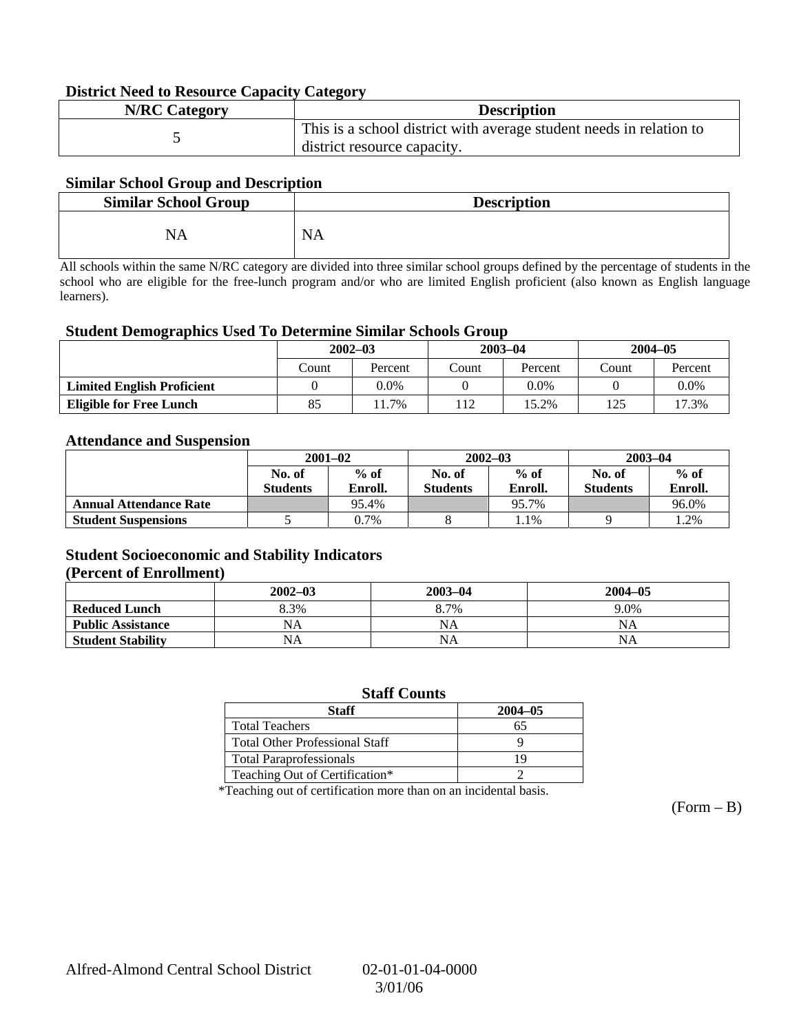#### **District Need to Resource Capacity Category**

| <b>N/RC Category</b> | <b>Description</b>                                                                                 |
|----------------------|----------------------------------------------------------------------------------------------------|
|                      | This is a school district with average student needs in relation to<br>district resource capacity. |

#### **Similar School Group and Description**

| <b>Similar School Group</b> | <b>Description</b> |
|-----------------------------|--------------------|
| NA                          | <b>NA</b>          |

All schools within the same N/RC category are divided into three similar school groups defined by the percentage of students in the school who are eligible for the free-lunch program and/or who are limited English proficient (also known as English language learners).

#### **Student Demographics Used To Determine Similar Schools Group**

|                                   | $2002 - 03$ |         | $2003 - 04$ |         | $2004 - 05$ |         |
|-----------------------------------|-------------|---------|-------------|---------|-------------|---------|
|                                   | Count       | Percent | Count       | Percent | Count       | Percent |
| <b>Limited English Proficient</b> |             | 0.0%    |             | 0.0%    |             | $0.0\%$ |
| <b>Eligible for Free Lunch</b>    | 85          | 11.7%   | 12          | 15.2%   | 125         | 17.3%   |

#### **Attendance and Suspension**

|                               | $2001 - 02$      |         |                  | $2002 - 03$ | $2003 - 04$     |         |
|-------------------------------|------------------|---------|------------------|-------------|-----------------|---------|
|                               | $%$ of<br>No. of |         | $%$ of<br>No. of |             | No. of          | $%$ of  |
|                               | <b>Students</b>  | Enroll. | <b>Students</b>  | Enroll.     | <b>Students</b> | Enroll. |
| <b>Annual Attendance Rate</b> |                  | 95.4%   |                  | 95.7%       |                 | 96.0%   |
| <b>Student Suspensions</b>    |                  | 0.7%    |                  | 1.1%        |                 | 1.2%    |

#### **Student Socioeconomic and Stability Indicators (Percent of Enrollment)**

|                          | $2002 - 03$ | $2003 - 04$ | $2004 - 05$ |
|--------------------------|-------------|-------------|-------------|
| <b>Reduced Lunch</b>     | 8.3%        | 8.7%        | 9.0%        |
| <b>Public Assistance</b> | NA          | NA          | NA          |
| <b>Student Stability</b> | NA          | <b>NA</b>   | NA          |

#### **Staff Counts**

| Staff                                 | $2004 - 05$ |
|---------------------------------------|-------------|
| <b>Total Teachers</b>                 |             |
| <b>Total Other Professional Staff</b> |             |
| <b>Total Paraprofessionals</b>        |             |
| Teaching Out of Certification*        |             |

\*Teaching out of certification more than on an incidental basis.

 $(Form - B)$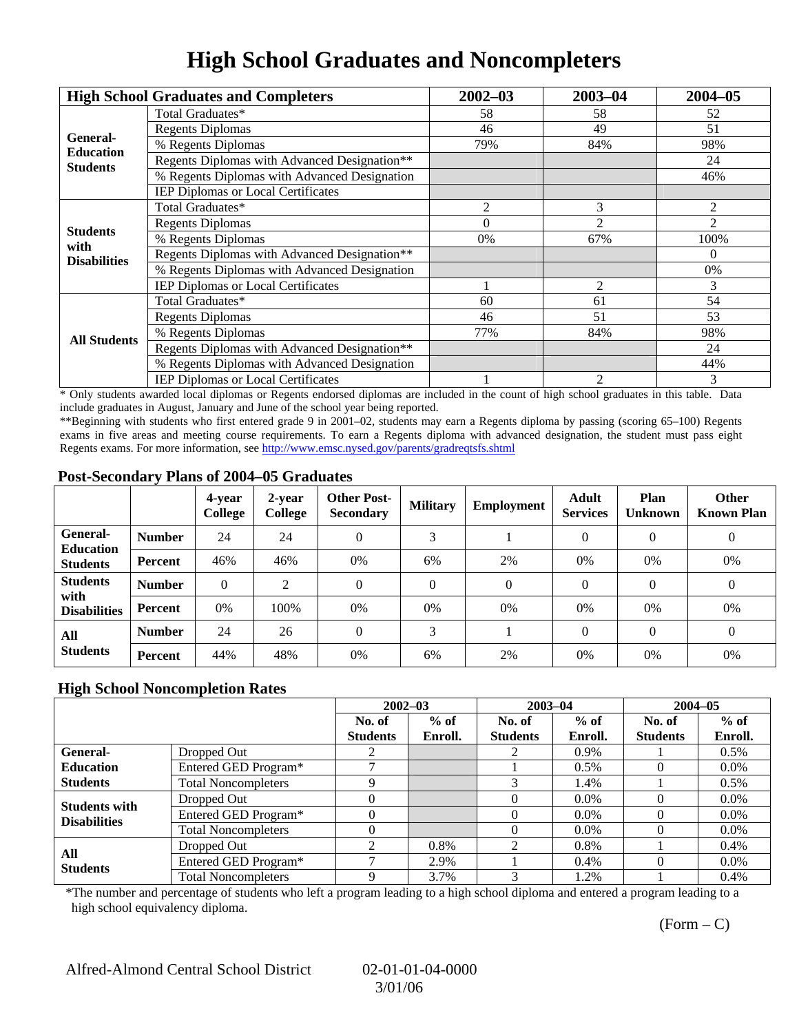# **High School Graduates and Noncompleters**

|                     | <b>High School Graduates and Completers</b>  | $2002 - 03$                                                                                                            | $2003 - 04$ | $2004 - 05$ |
|---------------------|----------------------------------------------|------------------------------------------------------------------------------------------------------------------------|-------------|-------------|
|                     | Total Graduates*                             | 58                                                                                                                     | 58          | 52          |
| General-            | <b>Regents Diplomas</b>                      | 49<br>46<br>79%<br>84%<br>3<br>2<br>2<br>$\Omega$<br>67%<br>0%<br>$\overline{2}$<br>60<br>61<br>51<br>46<br>77%<br>84% | 51          |             |
| <b>Education</b>    | % Regents Diplomas                           |                                                                                                                        |             | 98%         |
| <b>Students</b>     | Regents Diplomas with Advanced Designation** |                                                                                                                        |             | 24          |
|                     | % Regents Diplomas with Advanced Designation |                                                                                                                        |             | 46%         |
|                     | IEP Diplomas or Local Certificates           |                                                                                                                        |             |             |
|                     | Total Graduates*                             |                                                                                                                        |             | 2           |
| <b>Students</b>     | <b>Regents Diplomas</b>                      |                                                                                                                        |             | 2           |
| with                | % Regents Diplomas                           |                                                                                                                        |             | 100%        |
| <b>Disabilities</b> | Regents Diplomas with Advanced Designation** |                                                                                                                        |             | $\theta$    |
|                     | % Regents Diplomas with Advanced Designation |                                                                                                                        |             | 0%          |
|                     | IEP Diplomas or Local Certificates           |                                                                                                                        |             | 3           |
|                     | Total Graduates*                             |                                                                                                                        |             | 54          |
|                     | <b>Regents Diplomas</b>                      |                                                                                                                        |             | 53          |
| <b>All Students</b> | % Regents Diplomas                           |                                                                                                                        |             | 98%         |
|                     | Regents Diplomas with Advanced Designation** | $\overline{c}$                                                                                                         | 24          |             |
|                     | % Regents Diplomas with Advanced Designation |                                                                                                                        |             | 44%         |
|                     | <b>IEP Diplomas or Local Certificates</b>    |                                                                                                                        |             | 3           |

\* Only students awarded local diplomas or Regents endorsed diplomas are included in the count of high school graduates in this table. Data include graduates in August, January and June of the school year being reported.

\*\*Beginning with students who first entered grade 9 in 2001–02, students may earn a Regents diploma by passing (scoring 65–100) Regents exams in five areas and meeting course requirements. To earn a Regents diploma with advanced designation, the student must pass eight Regents exams. For more information, see http://www.emsc.nysed.gov/parents/gradreqtsfs.shtml

#### **Post-Secondary Plans of 2004–05 Graduates**

|                                                 |                | 4-year<br>College | 2-year<br>College | <b>Other Post-</b><br><b>Secondary</b> | <b>Military</b> | Employment | <b>Adult</b><br><b>Services</b> | Plan<br><b>Unknown</b> | <b>Other</b><br><b>Known Plan</b> |
|-------------------------------------------------|----------------|-------------------|-------------------|----------------------------------------|-----------------|------------|---------------------------------|------------------------|-----------------------------------|
| General-<br><b>Education</b><br><b>Students</b> | <b>Number</b>  | 24                | 24                | 0                                      | 3               |            |                                 | $\theta$               | $\boldsymbol{0}$                  |
|                                                 | Percent        | 46%               | 46%               | 0%                                     | 6%              | 2%         | $0\%$                           | 0%                     | 0%                                |
| <b>Students</b><br>with<br><b>Disabilities</b>  | <b>Number</b>  | $\theta$          | 2                 | 0                                      | $\Omega$        | $\Omega$   | $\Omega$                        | $\Omega$               | $\theta$                          |
|                                                 | Percent        | 0%                | 100%              | 0%                                     | 0%              | 0%         | 0%                              | 0%                     | 0%                                |
| All<br><b>Students</b>                          | <b>Number</b>  | 24                | 26                | $\Omega$                               | 3               |            | $\Omega$                        | $\theta$               | $\overline{0}$                    |
|                                                 | <b>Percent</b> | 44%               | 48%               | 0%                                     | 6%              | 2%         | 0%                              | 0%                     | 0%                                |

### **High School Noncompletion Rates**

|                        |                            |                 | $2002 - 03$ |                 | $2003 - 04$ |                 | $2004 - 05$ |
|------------------------|----------------------------|-----------------|-------------|-----------------|-------------|-----------------|-------------|
|                        |                            | No. of          | $%$ of      | No. of          | $%$ of      | No. of          | $%$ of      |
|                        |                            | <b>Students</b> | Enroll.     | <b>Students</b> | Enroll.     | <b>Students</b> | Enroll.     |
| <b>General-</b>        | Dropped Out                |                 |             |                 | 0.9%        |                 | $0.5\%$     |
| <b>Education</b>       | Entered GED Program*       |                 |             |                 | $0.5\%$     |                 | $0.0\%$     |
| <b>Students</b>        | <b>Total Noncompleters</b> |                 |             |                 | 1.4%        |                 | $0.5\%$     |
| <b>Students with</b>   | Dropped Out                |                 |             |                 | $0.0\%$     |                 | $0.0\%$     |
| <b>Disabilities</b>    | Entered GED Program*       |                 |             |                 | $0.0\%$     |                 | $0.0\%$     |
|                        | <b>Total Noncompleters</b> |                 |             |                 | $0.0\%$     |                 | $0.0\%$     |
| All<br><b>Students</b> | Dropped Out                | ◠               | 0.8%        | 2               | 0.8%        |                 | $0.4\%$     |
|                        | Entered GED Program*       |                 | 2.9%        |                 | $0.4\%$     |                 | $0.0\%$     |
|                        | <b>Total Noncompleters</b> |                 | 3.7%        |                 | 1.2%        |                 | 0.4%        |

\*The number and percentage of students who left a program leading to a high school diploma and entered a program leading to a high school equivalency diploma.

 $(Form - C)$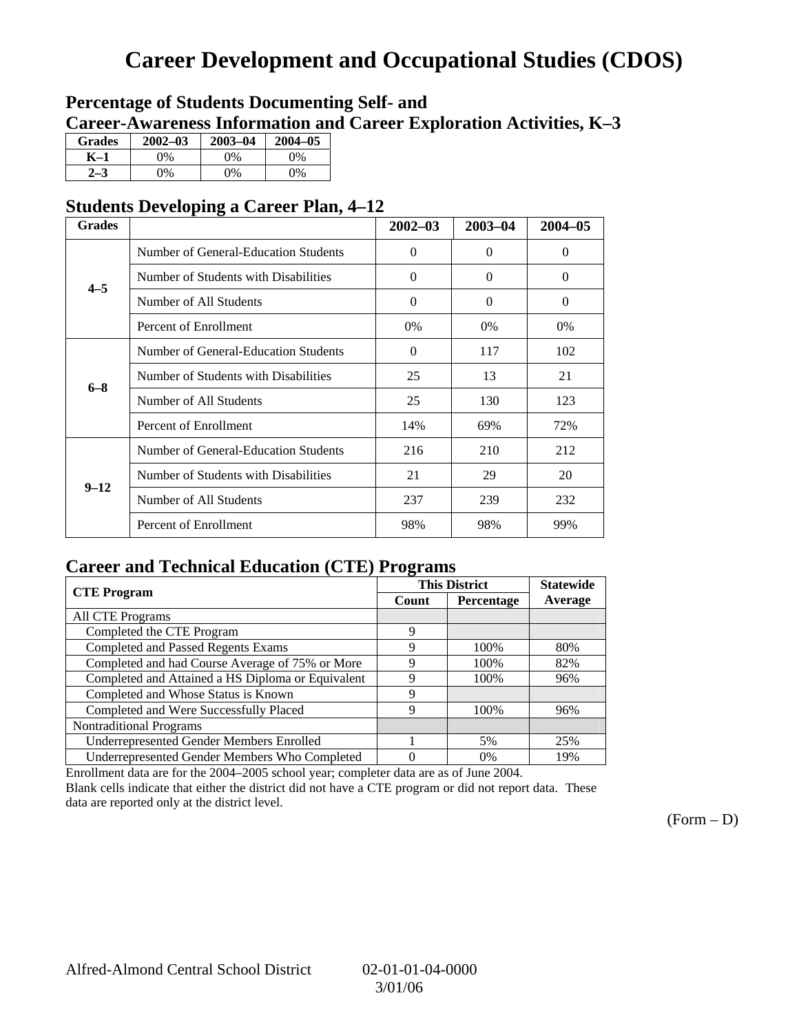## **Career Development and Occupational Studies (CDOS)**

### **Percentage of Students Documenting Self- and Career-Awareness Information and Career Exploration Activities, K–3**

| <b>Grades</b> | $2002 - 03$ | $2003 - 04$ | $2004 - 05$ |
|---------------|-------------|-------------|-------------|
| K–1           | 0%          | 0%          | $0\%$       |
| $2 - 3$       | 9%          | 0%          | 0%          |

### **Students Developing a Career Plan, 4–12**

| <b>Grades</b> |                                      | $2002 - 03$ | $2003 - 04$ | $2004 - 05$ |
|---------------|--------------------------------------|-------------|-------------|-------------|
|               | Number of General-Education Students | $\theta$    | $\Omega$    | $\Omega$    |
| $4 - 5$       | Number of Students with Disabilities | $\theta$    | $\Omega$    | $\theta$    |
|               | Number of All Students               | $\Omega$    | $\Omega$    | $\Omega$    |
|               | Percent of Enrollment                | $0\%$       | $0\%$       | $0\%$       |
|               | Number of General-Education Students | $\theta$    | 117         | 102         |
| $6 - 8$       | Number of Students with Disabilities | 25          | 13          | 21          |
|               | Number of All Students               | 25          | 130         | 123         |
|               | Percent of Enrollment                | 14%         | 69%         | 72%         |
|               | Number of General-Education Students | 216         | 210         | 212         |
| $9 - 12$      | Number of Students with Disabilities | 21          | 29          | 20          |
|               | Number of All Students               | 237         | 239         | 232         |
|               | Percent of Enrollment                | 98%         | 98%         | 99%         |

### **Career and Technical Education (CTE) Programs**

| <b>CTE</b> Program                                |       | <b>This District</b> | <b>Statewide</b> |
|---------------------------------------------------|-------|----------------------|------------------|
|                                                   | Count | Percentage           | Average          |
| <b>All CTE Programs</b>                           |       |                      |                  |
| Completed the CTE Program                         | 9     |                      |                  |
| <b>Completed and Passed Regents Exams</b>         | 9     | 100%                 | 80%              |
| Completed and had Course Average of 75% or More   | 9     | 100%                 | 82%              |
| Completed and Attained a HS Diploma or Equivalent | 9     | 100%                 | 96%              |
| Completed and Whose Status is Known               | 9     |                      |                  |
| Completed and Were Successfully Placed            | 9     | 100%                 | 96%              |
| <b>Nontraditional Programs</b>                    |       |                      |                  |
| <b>Underrepresented Gender Members Enrolled</b>   |       | 5%                   | 25%              |
| Underrepresented Gender Members Who Completed     |       | 0%                   | 19%              |

Enrollment data are for the 2004–2005 school year; completer data are as of June 2004.

Blank cells indicate that either the district did not have a CTE program or did not report data. These data are reported only at the district level.

 $(Form - D)$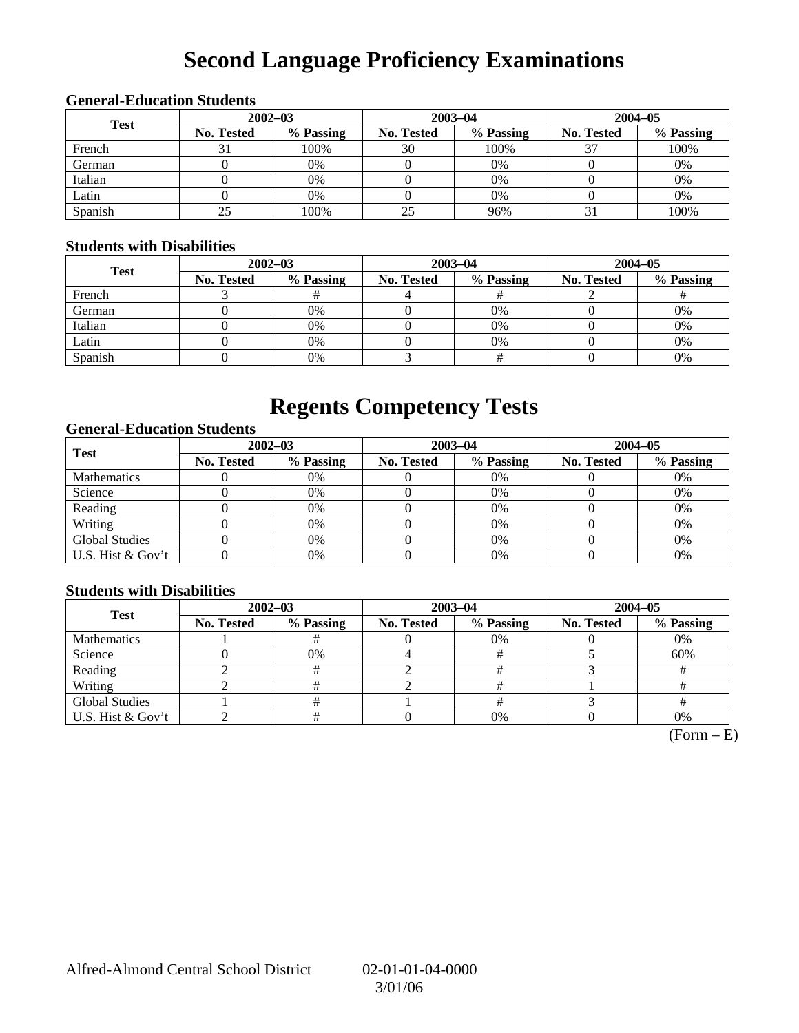# **Second Language Proficiency Examinations**

### **General-Education Students 2002–03 2003–04 2004–05 Test No. Tested % Passing No. Tested % Passing No. Tested % Passing**  French 31 100% 30 100% 37 100% German 0 0% 0 0% 0 0% Italian ( 0 0% 0 0% 0 0% 0 0% 0 0% Latin 0 0% 0 0% 0 0% Spanish 25 100% 25 96% 31 100%

### **Students with Disabilities**

| <b>Test</b> | $2002 - 03$ |           |            | $2003 - 04$ | $2004 - 05$       |           |  |
|-------------|-------------|-----------|------------|-------------|-------------------|-----------|--|
|             | No. Tested  | % Passing | No. Tested | % Passing   | <b>No. Tested</b> | % Passing |  |
| French      |             |           |            |             |                   |           |  |
| German      |             | 0%        |            | 0%          |                   | 0%        |  |
| Italian     |             | 0%        |            | 0%          |                   | 0%        |  |
| Latin       |             | 0%        |            | 0%          |                   | 0%        |  |
| Spanish     |             | 0%        |            |             |                   | 0%        |  |

### **Regents Competency Tests**

### **General-Education Students**

| <b>Test</b>           | $2002 - 03$       |           |                   | $2003 - 04$ | $2004 - 05$ |           |  |
|-----------------------|-------------------|-----------|-------------------|-------------|-------------|-----------|--|
|                       | <b>No. Tested</b> | % Passing | <b>No. Tested</b> | % Passing   | No. Tested  | % Passing |  |
| <b>Mathematics</b>    |                   | 0%        |                   | 0%          |             | 0%        |  |
| Science               |                   | 0%        |                   | 0%          |             | 0%        |  |
| Reading               |                   | 0%        |                   | $0\%$       |             | 0%        |  |
| Writing               |                   | 0%        |                   | 0%          |             | 0%        |  |
| <b>Global Studies</b> |                   | 0%        |                   | 0%          |             | 0%        |  |
| U.S. Hist & Gov't     |                   | 0%        |                   | $0\%$       |             | 0%        |  |

### **Students with Disabilities**

| <b>Test</b>           | $2002 - 03$ |           | $2003 - 04$ |           | $2004 - 05$       |           |  |
|-----------------------|-------------|-----------|-------------|-----------|-------------------|-----------|--|
|                       | No. Tested  | % Passing | No. Tested  | % Passing | <b>No. Tested</b> | % Passing |  |
| <b>Mathematics</b>    |             |           |             | $0\%$     |                   | 0%        |  |
| Science               |             | 0%        |             |           |                   | 60%       |  |
| Reading               |             |           |             |           |                   |           |  |
| Writing               |             |           |             |           |                   |           |  |
| <b>Global Studies</b> |             |           |             |           |                   |           |  |
| U.S. Hist & Gov't     |             |           |             | 0%        |                   | 0%        |  |

 $(Form - E)$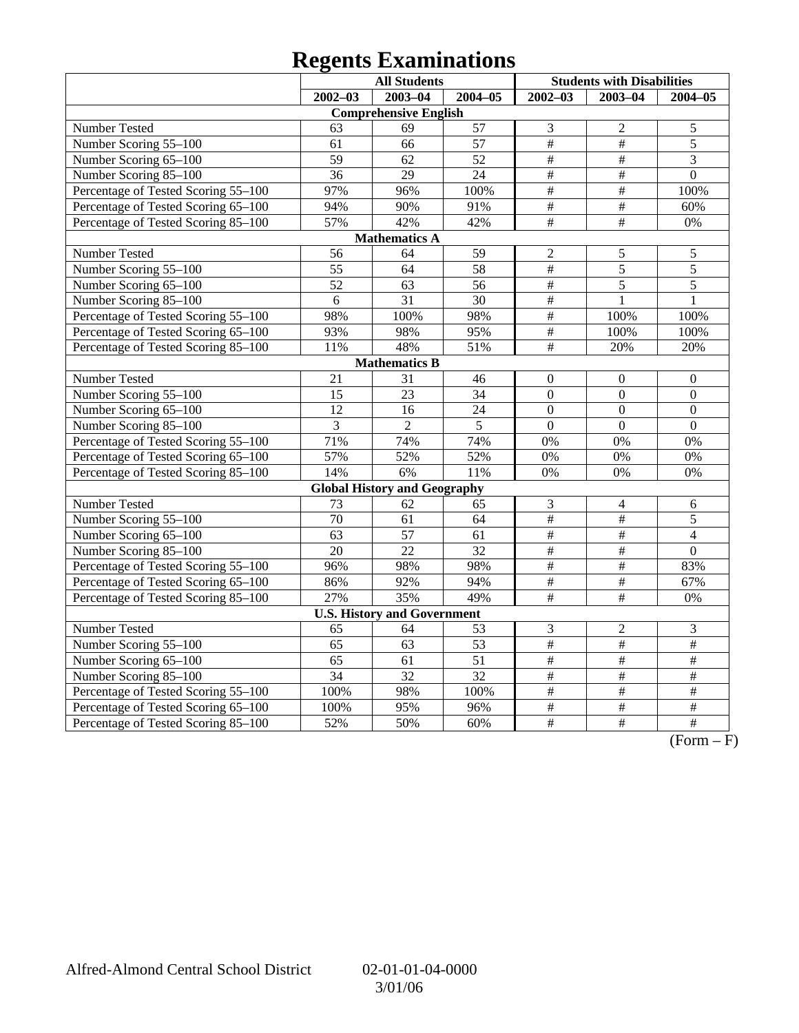### **Regents Examinations**

|                                     | <b>All Students</b> |                                     |                 |                         | <b>Students with Disabilities</b> |                  |
|-------------------------------------|---------------------|-------------------------------------|-----------------|-------------------------|-----------------------------------|------------------|
|                                     | $2002 - 03$         | $2003 - 04$                         | $2004 - 05$     | $2002 - 03$             | $2003 - 04$                       | $2004 - 05$      |
|                                     |                     | <b>Comprehensive English</b>        |                 |                         |                                   |                  |
| Number Tested                       | 63                  | 69                                  | 57              | 3                       | $\overline{2}$                    | 5                |
| Number Scoring 55-100               | 61                  | 66                                  | 57              | #                       | #                                 | $\overline{5}$   |
| Number Scoring 65-100               | $\overline{59}$     | 62                                  | $\overline{52}$ | $\overline{\ddot{\pi}}$ | $\overline{\#}$                   | $\overline{3}$   |
| Number Scoring 85-100               | $\overline{36}$     | 29                                  | $\overline{24}$ | $\overline{\ddot{\pi}}$ | $\overline{\#}$                   | $\overline{0}$   |
| Percentage of Tested Scoring 55-100 | 97%                 | 96%                                 | 100%            | $\#$                    | $\#$                              | 100%             |
| Percentage of Tested Scoring 65-100 | 94%                 | 90%                                 | 91%             | $\#$                    | $\#$                              | 60%              |
| Percentage of Tested Scoring 85-100 | 57%                 | 42%                                 | 42%             | $\#$                    | $\#$                              | 0%               |
|                                     |                     | <b>Mathematics A</b>                |                 |                         |                                   |                  |
| Number Tested                       | 56                  | 64                                  | $\overline{59}$ | $\overline{2}$          | 5                                 | 5                |
| Number Scoring 55-100               | 55                  | 64                                  | 58              | $\frac{1}{2}$           | 5                                 | $\overline{5}$   |
| Number Scoring 65-100               | 52                  | 63                                  | 56              | $\frac{1}{2}$           | $\overline{5}$                    | $\overline{5}$   |
| Number Scoring 85-100               | $\overline{6}$      | $\overline{31}$                     | $\overline{30}$ | $\overline{\#}$         | $\mathbf{1}$                      | $\mathbf{1}$     |
| Percentage of Tested Scoring 55-100 | 98%                 | 100%                                | 98%             | $\frac{1}{2}$           | 100%                              | 100%             |
| Percentage of Tested Scoring 65-100 | 93%                 | 98%                                 | 95%             | $\#$                    | 100%                              | 100%             |
| Percentage of Tested Scoring 85-100 | 11%                 | 48%                                 | 51%             | $\overline{+}$          | 20%                               | 20%              |
|                                     |                     | <b>Mathematics B</b>                |                 |                         |                                   |                  |
| Number Tested                       | $\overline{21}$     | 31                                  | 46              | $\boldsymbol{0}$        | $\boldsymbol{0}$                  | $\mathbf{0}$     |
| Number Scoring 55-100               | 15                  | $\overline{23}$                     | 34              | $\overline{0}$          | $\overline{0}$                    | $\overline{0}$   |
| Number Scoring 65-100               | 12                  | 16                                  | 24              | $\overline{0}$          | $\mathbf{0}$                      | $\boldsymbol{0}$ |
| Number Scoring 85-100               | 3                   | $\overline{2}$                      | 5               | $\overline{0}$          | $\overline{0}$                    | $\overline{0}$   |
| Percentage of Tested Scoring 55-100 | 71%                 | 74%                                 | 74%             | 0%                      | 0%                                | 0%               |
| Percentage of Tested Scoring 65-100 | 57%                 | 52%                                 | 52%             | 0%                      | 0%                                | 0%               |
| Percentage of Tested Scoring 85-100 | 14%                 | 6%                                  | 11%             | 0%                      | 0%                                | 0%               |
|                                     |                     | <b>Global History and Geography</b> |                 |                         |                                   |                  |
| Number Tested                       | 73                  | 62                                  | 65              | 3                       | $\overline{4}$                    | 6                |
| Number Scoring 55-100               | $\overline{70}$     | 61                                  | $\overline{64}$ | $\frac{1}{2}$           | $\overline{\#}$                   | 5                |
| Number Scoring 65-100               | 63                  | 57                                  | 61              | $\frac{1}{2}$           | $\#$                              | $\overline{4}$   |
| Number Scoring 85-100               | $\overline{20}$     | $\overline{22}$                     | 32              | #                       | $\overline{\#}$                   | $\overline{0}$   |
| Percentage of Tested Scoring 55-100 | 96%                 | 98%                                 | 98%             | #                       | $\#$                              | 83%              |
| Percentage of Tested Scoring 65-100 | 86%                 | 92%                                 | 94%             | #                       | $\#$                              | 67%              |
| Percentage of Tested Scoring 85-100 | 27%                 | 35%                                 | 49%             | $\#$                    | $\#$                              | 0%               |
|                                     |                     | <b>U.S. History and Government</b>  |                 |                         |                                   |                  |
| Number Tested                       | 65                  | 64                                  | 53              | 3                       | $\overline{c}$                    | $\mathfrak{Z}$   |
| Number Scoring 55-100               | 65                  | 63                                  | 53              | $\#$                    | $\#$                              | $\overline{\#}$  |
| Number Scoring 65-100               | $\overline{65}$     | 61                                  | $\overline{51}$ | #                       | $\overline{\#}$                   | $\overline{\#}$  |
| Number Scoring 85-100               | $\overline{34}$     | $\overline{32}$                     | $\overline{32}$ | $\overline{\#}$         | $\overline{\#}$                   | $\#$             |
| Percentage of Tested Scoring 55-100 | 100%                | 98%                                 | 100%            | $\#$                    | $\overline{\#}$                   | $\#$             |
| Percentage of Tested Scoring 65-100 | 100%                | 95%                                 | 96%             | $\overline{\#}$         | $\frac{1}{2}$                     | $\#$             |
| Percentage of Tested Scoring 85-100 | 52%                 | 50%                                 | 60%             | $\overline{\#}$         | $\overline{\#}$                   | $\overline{\#}$  |

 $\overline{(Form - F)}$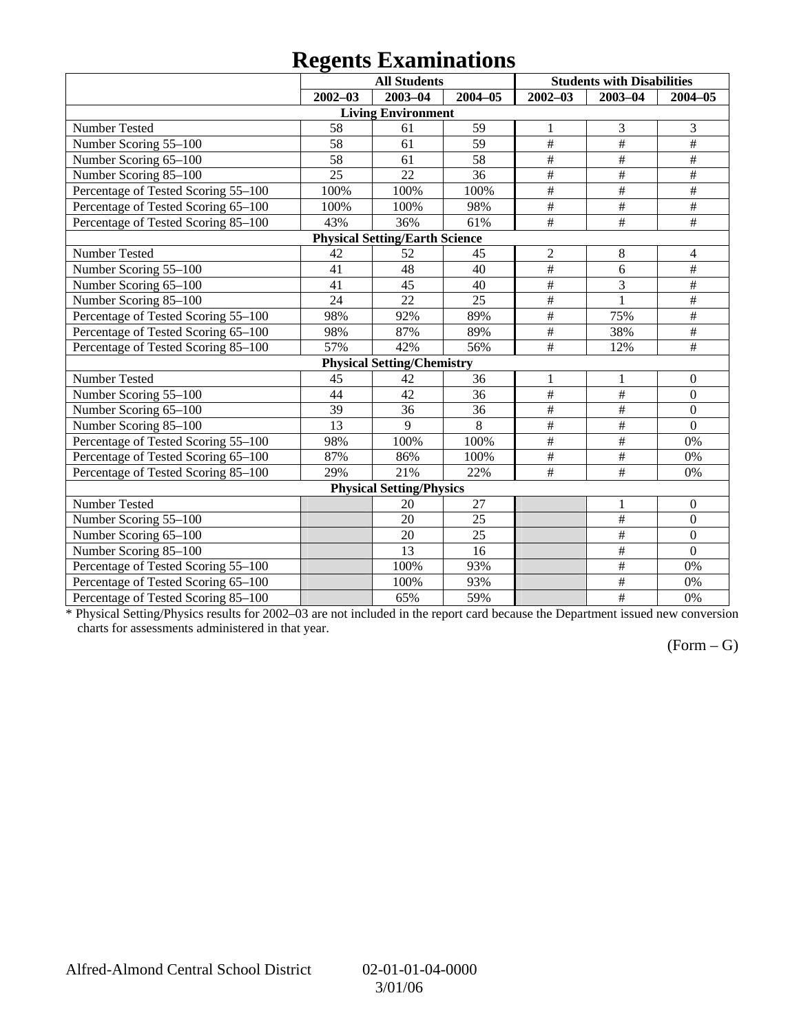### **Regents Examinations**

|                                     | o               | <b>All Students</b>                   |                 |                           | <b>Students with Disabilities</b> |                           |
|-------------------------------------|-----------------|---------------------------------------|-----------------|---------------------------|-----------------------------------|---------------------------|
|                                     | $2002 - 03$     | $2003 - 04$                           | 2004-05         | $2002 - 03$               | $2003 - 04$                       | $2004 - 05$               |
|                                     |                 | <b>Living Environment</b>             |                 |                           |                                   |                           |
| Number Tested                       | 58              | 61                                    | 59              | 1                         | 3                                 | 3                         |
| Number Scoring 55-100               | 58              | 61                                    | 59              | $\overline{\#}$           | $\overline{\#}$                   | #                         |
| Number Scoring 65-100               | 58              | 61                                    | 58              | $\#$                      | $\#$                              | $\#$                      |
| Number Scoring 85-100               | 25              | 22                                    | 36              | $\#$                      | $\#$                              | $\#$                      |
| Percentage of Tested Scoring 55-100 | 100%            | 100%                                  | 100%            | $\overline{\overline{t}}$ | $\overline{\ddot{}}$              | $\overline{\overline{H}}$ |
| Percentage of Tested Scoring 65-100 | 100%            | 100%                                  | 98%             | $\overline{\#}$           | $\overline{\#}$                   | $\overline{\#}$           |
| Percentage of Tested Scoring 85-100 | 43%             | 36%                                   | 61%             | $\#$                      | $\#$                              | $\#$                      |
|                                     |                 | <b>Physical Setting/Earth Science</b> |                 |                           |                                   |                           |
| Number Tested                       | 42              | 52                                    | 45              | $\overline{2}$            | 8                                 | 4                         |
| Number Scoring 55-100               | 41              | 48                                    | 40              | $\#$                      | 6                                 | $\#$                      |
| Number Scoring 65-100               | 41              | 45                                    | 40              | $\#$                      | 3                                 | $\#$                      |
| Number Scoring 85-100               | $\overline{24}$ | $\overline{22}$                       | $\overline{25}$ | $\#$                      | $\mathbf{1}$                      | #                         |
| Percentage of Tested Scoring 55-100 | 98%             | 92%                                   | 89%             | $\overline{\#}$           | 75%                               | $\overline{\#}$           |
| Percentage of Tested Scoring 65-100 | 98%             | 87%                                   | 89%             | $\overline{\#}$           | 38%                               | $\overline{\#}$           |
| Percentage of Tested Scoring 85-100 | 57%             | 42%                                   | 56%             | $\overline{\#}$           | 12%                               | #                         |
|                                     |                 | <b>Physical Setting/Chemistry</b>     |                 |                           |                                   |                           |
| Number Tested                       | 45              | 42                                    | 36              | $\mathbf{1}$              | $\mathbf{1}$                      | $\boldsymbol{0}$          |
| Number Scoring 55-100               | $\overline{44}$ | $\overline{42}$                       | $\overline{36}$ | $\overline{\overline{H}}$ | #                                 | $\overline{0}$            |
| Number Scoring 65-100               | 39              | 36                                    | 36              | $\overline{\#}$           | $\overline{\#}$                   | $\boldsymbol{0}$          |
| Number Scoring 85-100               | 13              | $\mathbf{Q}$                          | 8               | #                         | $\#$                              | $\overline{0}$            |
| Percentage of Tested Scoring 55-100 | 98%             | 100%                                  | 100%            | $\#$                      | $\#$                              | 0%                        |
| Percentage of Tested Scoring 65-100 | 87%             | 86%                                   | 100%            | $\#$                      | $\#$                              | 0%                        |
| Percentage of Tested Scoring 85-100 | 29%             | 21%                                   | 22%             | $\#$                      | $\#$                              | 0%                        |
|                                     |                 | <b>Physical Setting/Physics</b>       |                 |                           |                                   |                           |
| Number Tested                       |                 | 20                                    | 27              |                           | 1                                 | $\boldsymbol{0}$          |
| Number Scoring 55-100               |                 | 20                                    | 25              |                           | $\#$                              | $\boldsymbol{0}$          |
| Number Scoring 65-100               |                 | 20                                    | 25              |                           | $\#$                              | $\boldsymbol{0}$          |
| Number Scoring 85-100               |                 | 13                                    | 16              |                           | $\#$                              | $\overline{0}$            |
| Percentage of Tested Scoring 55-100 |                 | 100%                                  | 93%             |                           | $\overline{\#}$                   | 0%                        |
| Percentage of Tested Scoring 65-100 |                 | 100%                                  | 93%             |                           | $\overline{\ddot{}}$              | 0%                        |
| Percentage of Tested Scoring 85-100 |                 | 65%                                   | 59%             |                           | $\overline{\#}$                   | 0%                        |

\* Physical Setting/Physics results for 2002–03 are not included in the report card because the Department issued new conversion charts for assessments administered in that year.

### $(Form - G)$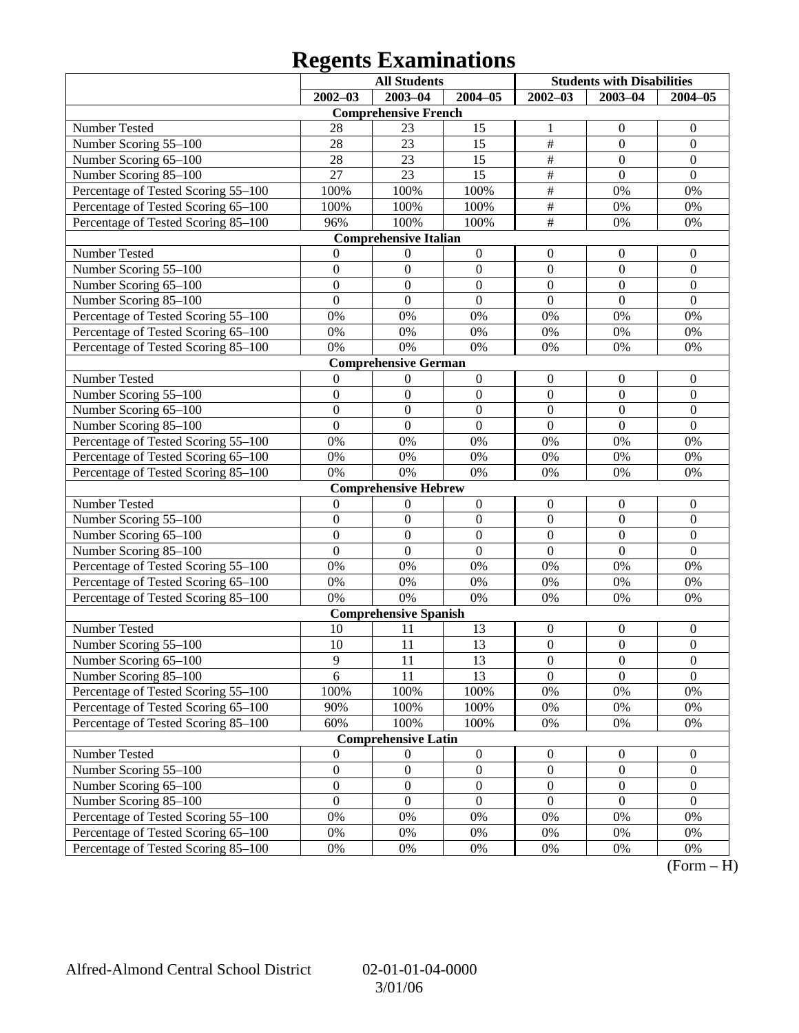### **Regents Examinations**

|                                     | <b>All Students</b><br><b>Students with Disabilities</b> |                              |                  |                  |                  |                  |
|-------------------------------------|----------------------------------------------------------|------------------------------|------------------|------------------|------------------|------------------|
|                                     | $2002 - 03$                                              | $2003 - 04$                  | $2004 - 05$      | $2002 - 03$      | $2003 - 04$      | $2004 - 05$      |
|                                     |                                                          | <b>Comprehensive French</b>  |                  |                  |                  |                  |
| Number Tested                       | 28                                                       | 23                           | 15               | 1                | $\boldsymbol{0}$ | $\mathbf{0}$     |
| Number Scoring 55-100               | 28                                                       | 23                           | 15               | $\overline{\#}$  | $\boldsymbol{0}$ | $\boldsymbol{0}$ |
| Number Scoring 65-100               | 28                                                       | 23                           | 15               | $\overline{\#}$  | $\boldsymbol{0}$ | $\boldsymbol{0}$ |
| Number Scoring 85-100               | 27                                                       | 23                           | 15               | $\overline{\#}$  | $\mathbf{0}$     | $\mathbf{0}$     |
| Percentage of Tested Scoring 55-100 | 100%                                                     | 100%                         | 100%             | $\overline{\#}$  | 0%               | 0%               |
| Percentage of Tested Scoring 65-100 | 100%                                                     | 100%                         | 100%             | $\overline{\#}$  | 0%               | 0%               |
| Percentage of Tested Scoring 85-100 | 96%                                                      | 100%                         | 100%             | $\overline{\#}$  | 0%               | 0%               |
|                                     |                                                          | <b>Comprehensive Italian</b> |                  |                  |                  |                  |
| Number Tested                       | 0                                                        | $\boldsymbol{0}$             | $\boldsymbol{0}$ | $\boldsymbol{0}$ | $\boldsymbol{0}$ | $\mathbf{0}$     |
| Number Scoring 55-100               | $\boldsymbol{0}$                                         | $\boldsymbol{0}$             | $\boldsymbol{0}$ | $\boldsymbol{0}$ | $\boldsymbol{0}$ | $\boldsymbol{0}$ |
| Number Scoring 65-100               | $\boldsymbol{0}$                                         | $\boldsymbol{0}$             | $\boldsymbol{0}$ | $\boldsymbol{0}$ | $\overline{0}$   | $\boldsymbol{0}$ |
| Number Scoring 85-100               | $\overline{0}$                                           | $\boldsymbol{0}$             | $\mathbf{0}$     | $\mathbf{0}$     | $\mathbf{0}$     | $\boldsymbol{0}$ |
| Percentage of Tested Scoring 55-100 | 0%                                                       | 0%                           | 0%               | 0%               | 0%               | 0%               |
| Percentage of Tested Scoring 65-100 | 0%                                                       | 0%                           | $0\%$            | 0%               | 0%               | 0%               |
| Percentage of Tested Scoring 85-100 | 0%                                                       | 0%                           | 0%               | 0%               | 0%               | 0%               |
|                                     |                                                          | <b>Comprehensive German</b>  |                  |                  |                  |                  |
| Number Tested                       | $\mathbf{0}$                                             | $\boldsymbol{0}$             | $\boldsymbol{0}$ | $\boldsymbol{0}$ | $\boldsymbol{0}$ | $\mathbf{0}$     |
| Number Scoring 55-100               | $\boldsymbol{0}$                                         | $\boldsymbol{0}$             | $\boldsymbol{0}$ | $\boldsymbol{0}$ | $\boldsymbol{0}$ | $\boldsymbol{0}$ |
| Number Scoring 65-100               | $\boldsymbol{0}$                                         | $\boldsymbol{0}$             | $\boldsymbol{0}$ | $\boldsymbol{0}$ | $\overline{0}$   | $\boldsymbol{0}$ |
| Number Scoring 85-100               | $\overline{0}$                                           | $\boldsymbol{0}$             | $\mathbf{0}$     | $\mathbf{0}$     | $\overline{0}$   | $\overline{0}$   |
| Percentage of Tested Scoring 55-100 | 0%                                                       | 0%                           | 0%               | 0%               | 0%               | 0%               |
| Percentage of Tested Scoring 65-100 | 0%                                                       | 0%                           | $0\%$            | 0%               | 0%               | 0%               |
| Percentage of Tested Scoring 85-100 | 0%                                                       | 0%                           | 0%               | 0%               | 0%               | 0%               |
|                                     |                                                          | <b>Comprehensive Hebrew</b>  |                  |                  |                  |                  |
| Number Tested                       | $\boldsymbol{0}$                                         | $\boldsymbol{0}$             | $\boldsymbol{0}$ | $\boldsymbol{0}$ | $\boldsymbol{0}$ | $\mathbf{0}$     |
| Number Scoring 55-100               | $\boldsymbol{0}$                                         | $\boldsymbol{0}$             | $\boldsymbol{0}$ | $\boldsymbol{0}$ | $\boldsymbol{0}$ | $\boldsymbol{0}$ |
| Number Scoring 65-100               | $\boldsymbol{0}$                                         | $\boldsymbol{0}$             | $\boldsymbol{0}$ | $\boldsymbol{0}$ | $\overline{0}$   | $\boldsymbol{0}$ |
| Number Scoring 85-100               | $\overline{0}$                                           | $\boldsymbol{0}$             | $\mathbf{0}$     | $\overline{0}$   | $\overline{0}$   | $\overline{0}$   |
| Percentage of Tested Scoring 55-100 | 0%                                                       | 0%                           | 0%               | 0%               | 0%               | 0%               |
| Percentage of Tested Scoring 65-100 | 0%                                                       | 0%                           | $0\%$            | 0%               | 0%               | 0%               |
| Percentage of Tested Scoring 85-100 | 0%                                                       | 0%                           | $0\%$            | 0%               | 0%               | 0%               |
|                                     |                                                          | <b>Comprehensive Spanish</b> |                  |                  |                  |                  |
| Number Tested                       | 10                                                       | 11                           | 13               | $\boldsymbol{0}$ | $\boldsymbol{0}$ | $\mathbf{0}$     |
| Number Scoring 55-100               | 10                                                       | 11                           | 13               | $\boldsymbol{0}$ | $\mathbf{0}$     | $\boldsymbol{0}$ |
| Number Scoring 65-100               | 9                                                        | 11                           | 13               | $\boldsymbol{0}$ | $\boldsymbol{0}$ | $\boldsymbol{0}$ |
| Number Scoring 85-100               | 6                                                        | 11                           | 13               | $\overline{0}$   | $\overline{0}$   | $\overline{0}$   |
| Percentage of Tested Scoring 55-100 | 100%                                                     | 100%                         | 100%             | 0%               | 0%               | 0%               |
| Percentage of Tested Scoring 65-100 | 90%                                                      | 100%                         | 100%             | 0%               | 0%               | $0\%$            |
| Percentage of Tested Scoring 85-100 | 60%                                                      | 100%                         | 100%             | 0%               | 0%               | 0%               |
|                                     |                                                          | <b>Comprehensive Latin</b>   |                  |                  |                  |                  |
| Number Tested                       | $\boldsymbol{0}$                                         | $\boldsymbol{0}$             | $\boldsymbol{0}$ | $\boldsymbol{0}$ | $\boldsymbol{0}$ | $\mathbf{0}$     |
| Number Scoring 55-100               | $\boldsymbol{0}$                                         | $\boldsymbol{0}$             | $\boldsymbol{0}$ | $\boldsymbol{0}$ | $\boldsymbol{0}$ | $\boldsymbol{0}$ |
| Number Scoring 65-100               | $\boldsymbol{0}$                                         | $\boldsymbol{0}$             | $\boldsymbol{0}$ | $\boldsymbol{0}$ | $\boldsymbol{0}$ | $\boldsymbol{0}$ |
| Number Scoring 85-100               | $\boldsymbol{0}$                                         | $\boldsymbol{0}$             | $\boldsymbol{0}$ | $\boldsymbol{0}$ | $\mathbf{0}$     | $\boldsymbol{0}$ |
| Percentage of Tested Scoring 55-100 | 0%                                                       | 0%                           | 0%               | 0%               | 0%               | 0%               |
| Percentage of Tested Scoring 65-100 | 0%                                                       | 0%                           | 0%               | 0%               | 0%               | 0%               |
| Percentage of Tested Scoring 85-100 | $0\%$                                                    | 0%                           | 0%               | 0%               | 0%               | 0%               |

 $(Form - H)$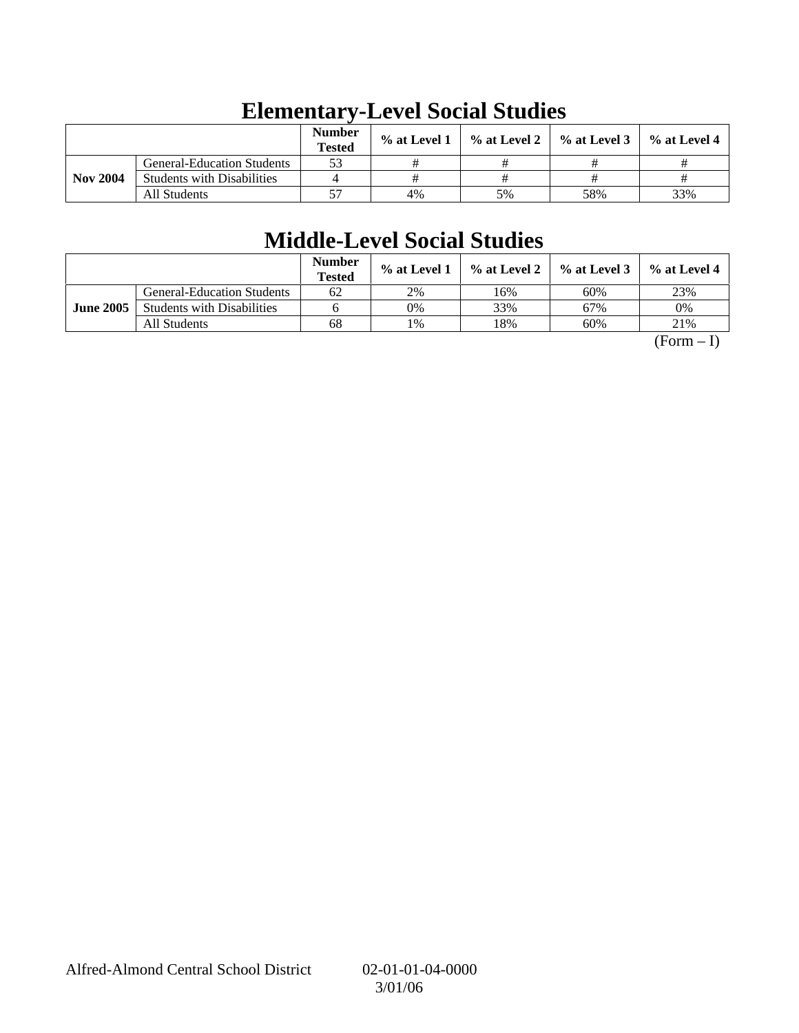|                 |                                   | <b>Number</b><br><b>Tested</b> | % at Level 1 | $\%$ at Level 2 $\parallel$ | $\%$ at Level 3 | % at Level 4 |
|-----------------|-----------------------------------|--------------------------------|--------------|-----------------------------|-----------------|--------------|
|                 | <b>General-Education Students</b> | 53                             |              |                             |                 |              |
| <b>Nov 2004</b> | <b>Students with Disabilities</b> |                                |              |                             |                 |              |
|                 | All Students                      | 57                             | 4%           | 5%                          | 58%             | 33%          |

# **Elementary-Level Social Studies**

## **Middle-Level Social Studies**

|                  |                                   | <b>Number</b><br><b>Tested</b> | $%$ at Level 1 | $\%$ at Level 2 | $\%$ at Level 3 | % at Level 4 |
|------------------|-----------------------------------|--------------------------------|----------------|-----------------|-----------------|--------------|
|                  | <b>General-Education Students</b> | 62                             | 2%             | 16%             | 60%             | 23%          |
| <b>June 2005</b> | <b>Students with Disabilities</b> |                                | 0%             | 33%             | 67%             | 0%           |
|                  | All Students                      | 68                             | 1%             | 18%             | 60%             | 21%          |

 $(Form - I)$